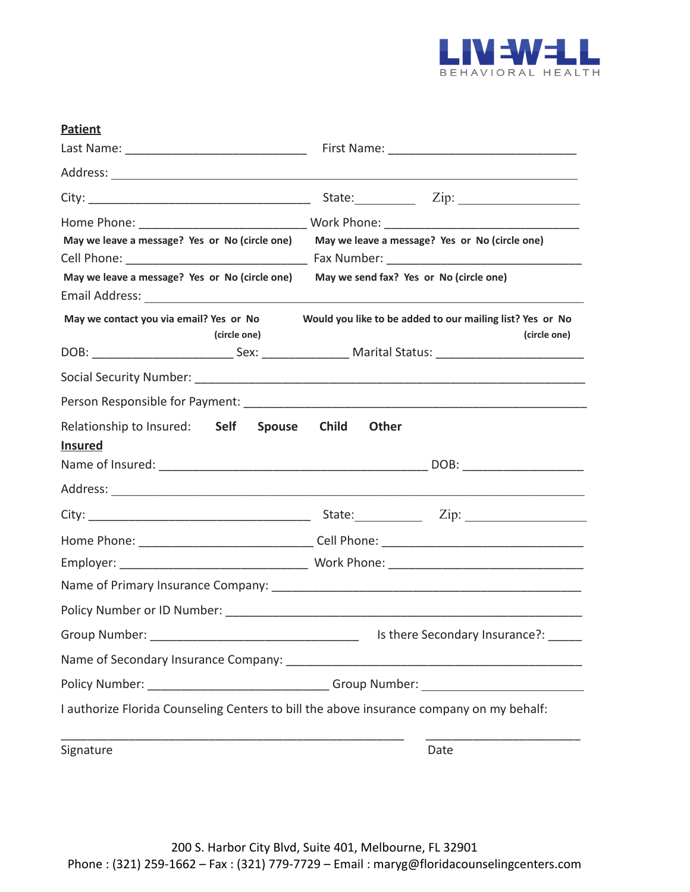

| <b>Patient</b>                                          |                                                                                                                |
|---------------------------------------------------------|----------------------------------------------------------------------------------------------------------------|
| Last Name: __________________________________           |                                                                                                                |
|                                                         |                                                                                                                |
|                                                         | State: <u>Zip: Zip:</u>                                                                                        |
|                                                         |                                                                                                                |
| May we leave a message? Yes or No (circle one)          | May we leave a message? Yes or No (circle one)                                                                 |
| May we leave a message? Yes or No (circle one)          | May we send fax? Yes or No (circle one)                                                                        |
| May we contact you via email? Yes or No<br>(circle one) | Would you like to be added to our mailing list? Yes or No<br>(circle one)                                      |
|                                                         | DOB: ________________________________Sex: _______________________Marital Status: _____________________________ |
|                                                         |                                                                                                                |
|                                                         |                                                                                                                |
| Relationship to Insured: Self<br><b>Insured</b>         | <b>Spouse</b><br>Child<br><b>Other</b>                                                                         |
|                                                         |                                                                                                                |
|                                                         |                                                                                                                |
|                                                         |                                                                                                                |
|                                                         |                                                                                                                |
|                                                         |                                                                                                                |
|                                                         |                                                                                                                |
|                                                         |                                                                                                                |
| Group Number:                                           | Is there Secondary Insurance?:                                                                                 |
|                                                         |                                                                                                                |
|                                                         | Policy Number: ________________________________Group Number: ___________________                               |
|                                                         | I authorize Florida Counseling Centers to bill the above insurance company on my behalf:                       |
| Signature                                               | Date                                                                                                           |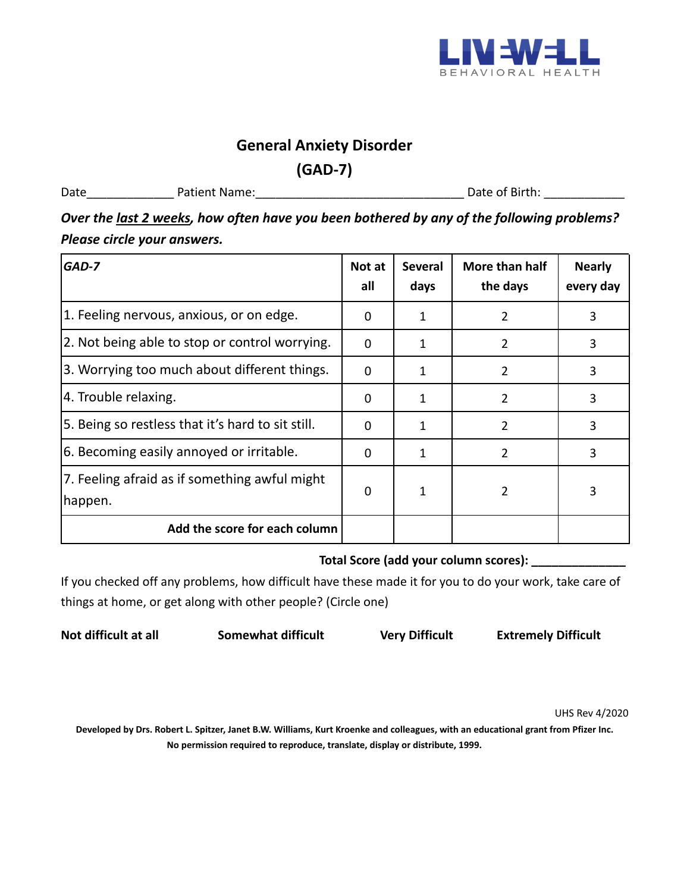

#### **General Anxiety Disorder**

**(GAD-7)**

Date\_\_\_\_\_\_\_\_\_\_\_\_\_ Patient Name:\_\_\_\_\_\_\_\_\_\_\_\_\_\_\_\_\_\_\_\_\_\_\_\_\_\_\_\_\_\_\_ Date of Birth: \_\_\_\_\_\_\_\_\_\_\_\_

*Over the last 2 weeks, how often have you been bothered by any of the following problems? Please circle your answers.*

| GAD-7                                                    | Not at<br>all | <b>Several</b><br>days | More than half<br>the days | <b>Nearly</b><br>every day |
|----------------------------------------------------------|---------------|------------------------|----------------------------|----------------------------|
| 1. Feeling nervous, anxious, or on edge.                 | 0             | 1                      | 2                          | 3                          |
| 2. Not being able to stop or control worrying.           | $\mathbf 0$   | 1                      | 2                          | 3                          |
| 3. Worrying too much about different things.             | $\mathbf 0$   | 1                      | $\overline{2}$             | 3                          |
| 4. Trouble relaxing.                                     | 0             | 1                      | 2                          | 3                          |
| 5. Being so restless that it's hard to sit still.        | 0             | 1                      | 2                          | 3                          |
| 6. Becoming easily annoyed or irritable.                 | $\mathbf{0}$  | 1                      | 2                          | 3                          |
| 7. Feeling afraid as if something awful might<br>happen. | 0             |                        | 2                          | 3                          |
| Add the score for each column                            |               |                        |                            |                            |

#### **Total Score (add your column scores): \_\_\_\_\_\_\_\_\_\_\_\_\_\_**

If you checked off any problems, how difficult have these made it for you to do your work, take care of things at home, or get along with other people? (Circle one)

**Not difficult at all Somewhat difficult Very Difficult Extremely Difficult**

UHS Rev 4/2020

**Developed by Drs. Robert L. Spitzer, Janet B.W. Williams, Kurt Kroenke and colleagues, with an educational grant from Pfizer Inc. No permission required to reproduce, translate, display or distribute, 1999.**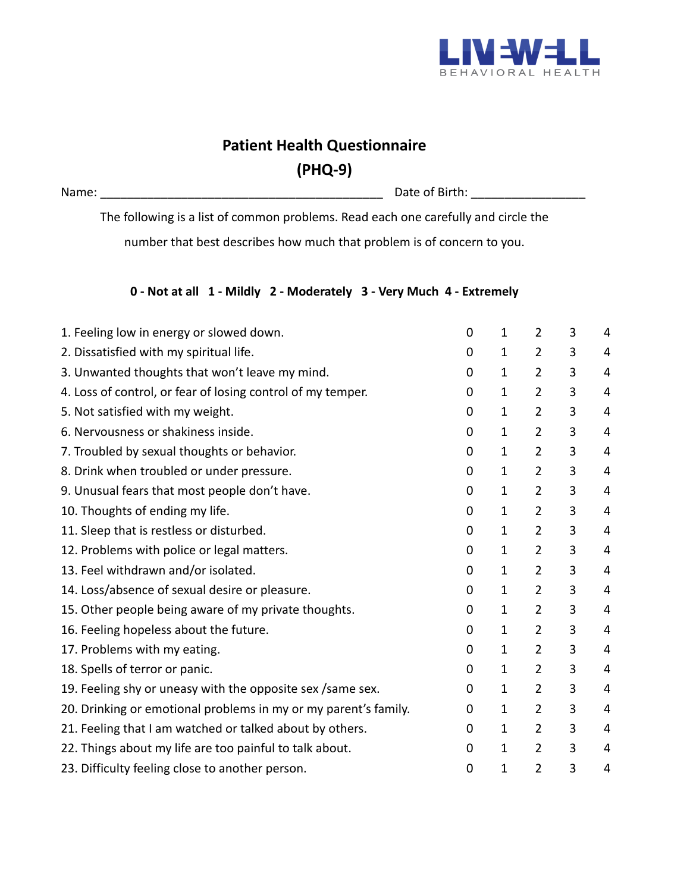

# **Patient Health Questionnaire (PHQ-9)**

Name: \_\_\_\_\_\_\_\_\_\_\_\_\_\_\_\_\_\_\_\_\_\_\_\_\_\_\_\_\_\_\_\_\_\_\_\_\_\_\_\_\_\_ Date of Birth: \_\_\_\_\_\_\_\_\_\_\_\_\_\_\_\_\_

The following is a list of common problems. Read each one carefully and circle the

number that best describes how much that problem is of concern to you.

#### **0 - Not at all 1 - Mildly 2 - Moderately 3 - Very Much 4 - Extremely**

| 1. Feeling low in energy or slowed down.                        | 0           | $\mathbf{1}$ | $\overline{2}$ | 3 | 4 |
|-----------------------------------------------------------------|-------------|--------------|----------------|---|---|
| 2. Dissatisfied with my spiritual life.                         | 0           | $\mathbf{1}$ | $\overline{2}$ | 3 | 4 |
| 3. Unwanted thoughts that won't leave my mind.                  | 0           | $\mathbf{1}$ | $\overline{2}$ | 3 | 4 |
| 4. Loss of control, or fear of losing control of my temper.     | 0           | $\mathbf{1}$ | $\overline{2}$ | 3 | 4 |
| 5. Not satisfied with my weight.                                | 0           | $\mathbf{1}$ | $\overline{2}$ | 3 | 4 |
| 6. Nervousness or shakiness inside.                             | $\mathbf 0$ | $\mathbf{1}$ | $\overline{2}$ | 3 | 4 |
| 7. Troubled by sexual thoughts or behavior.                     | $\mathbf 0$ | $\mathbf{1}$ | $\overline{2}$ | 3 | 4 |
| 8. Drink when troubled or under pressure.                       | 0           | $\mathbf{1}$ | $\overline{2}$ | 3 | 4 |
| 9. Unusual fears that most people don't have.                   | 0           | $\mathbf{1}$ | $\overline{2}$ | 3 | 4 |
| 10. Thoughts of ending my life.                                 | 0           | $\mathbf{1}$ | $\overline{2}$ | 3 | 4 |
| 11. Sleep that is restless or disturbed.                        | $\mathbf 0$ | $\mathbf{1}$ | $\overline{2}$ | 3 | 4 |
| 12. Problems with police or legal matters.                      | 0           | 1            | $\overline{2}$ | 3 | 4 |
| 13. Feel withdrawn and/or isolated.                             | 0           | $\mathbf{1}$ | $\overline{2}$ | 3 | 4 |
| 14. Loss/absence of sexual desire or pleasure.                  | 0           | 1            | $\overline{2}$ | 3 | 4 |
| 15. Other people being aware of my private thoughts.            | $\mathbf 0$ | $\mathbf{1}$ | $\overline{2}$ | 3 | 4 |
| 16. Feeling hopeless about the future.                          | $\mathbf 0$ | $\mathbf{1}$ | $\overline{2}$ | 3 | 4 |
| 17. Problems with my eating.                                    | 0           | $\mathbf{1}$ | $\overline{2}$ | 3 | 4 |
| 18. Spells of terror or panic.                                  | 0           | $\mathbf{1}$ | $\overline{2}$ | 3 | 4 |
| 19. Feeling shy or uneasy with the opposite sex / same sex.     | 0           | $\mathbf{1}$ | $\overline{2}$ | 3 | 4 |
| 20. Drinking or emotional problems in my or my parent's family. | 0           | $\mathbf{1}$ | $\overline{2}$ | 3 | 4 |
| 21. Feeling that I am watched or talked about by others.        | 0           | $\mathbf{1}$ | $\overline{2}$ | 3 | 4 |
| 22. Things about my life are too painful to talk about.         | $\mathbf 0$ | $\mathbf{1}$ | $\overline{2}$ | 3 | 4 |
| 23. Difficulty feeling close to another person.                 | $\mathbf 0$ | 1            | $\overline{2}$ | 3 | 4 |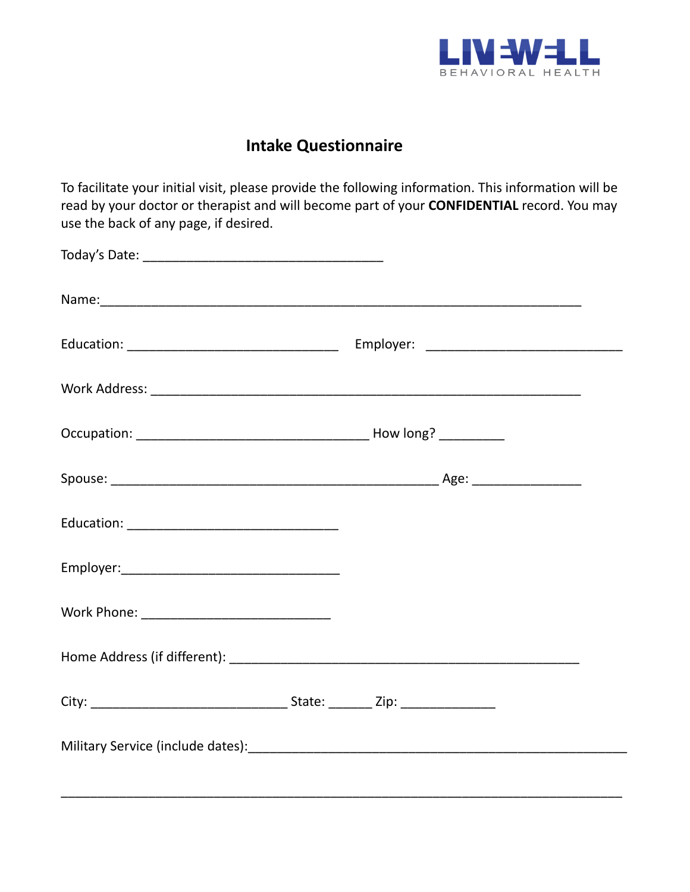

## **Intake Questionnaire**

To facilitate your initial visit, please provide the following information. This information will be read by your doctor or therapist and will become part of your **CONFIDENTIAL** record. You may use the back of any page, if desired.

\_\_\_\_\_\_\_\_\_\_\_\_\_\_\_\_\_\_\_\_\_\_\_\_\_\_\_\_\_\_\_\_\_\_\_\_\_\_\_\_\_\_\_\_\_\_\_\_\_\_\_\_\_\_\_\_\_\_\_\_\_\_\_\_\_\_\_\_\_\_\_\_\_\_\_\_\_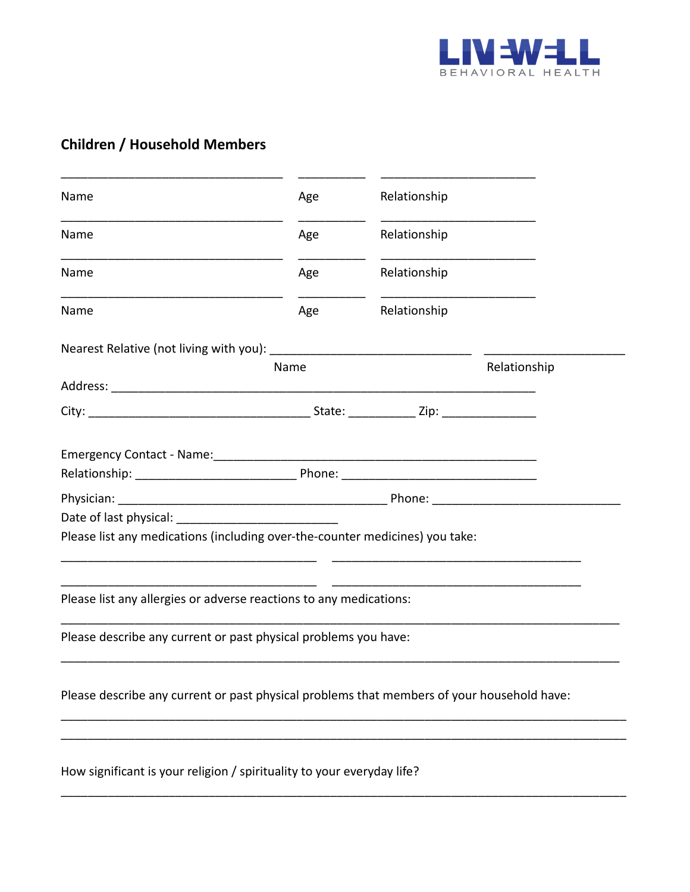

## **Children / Household Members**

| Relationship<br>Relationship<br>Relationship<br>Relationship<br>Relationship<br>City: 2ip: 2ip: |
|-------------------------------------------------------------------------------------------------|
|                                                                                                 |
|                                                                                                 |
|                                                                                                 |
|                                                                                                 |
|                                                                                                 |
|                                                                                                 |
|                                                                                                 |
|                                                                                                 |
|                                                                                                 |
|                                                                                                 |
|                                                                                                 |
| Please list any medications (including over-the-counter medicines) you take:                    |
| Please list any allergies or adverse reactions to any medications:                              |
| Please describe any current or past physical problems you have:                                 |
| Please describe any current or past physical problems that members of your household have:      |
|                                                                                                 |

\_\_\_\_\_\_\_\_\_\_\_\_\_\_\_\_\_\_\_\_\_\_\_\_\_\_\_\_\_\_\_\_\_\_\_\_\_\_\_\_\_\_\_\_\_\_\_\_\_\_\_\_\_\_\_\_\_\_\_\_\_\_\_\_\_\_\_\_\_\_\_\_\_\_\_\_\_\_\_\_\_\_\_\_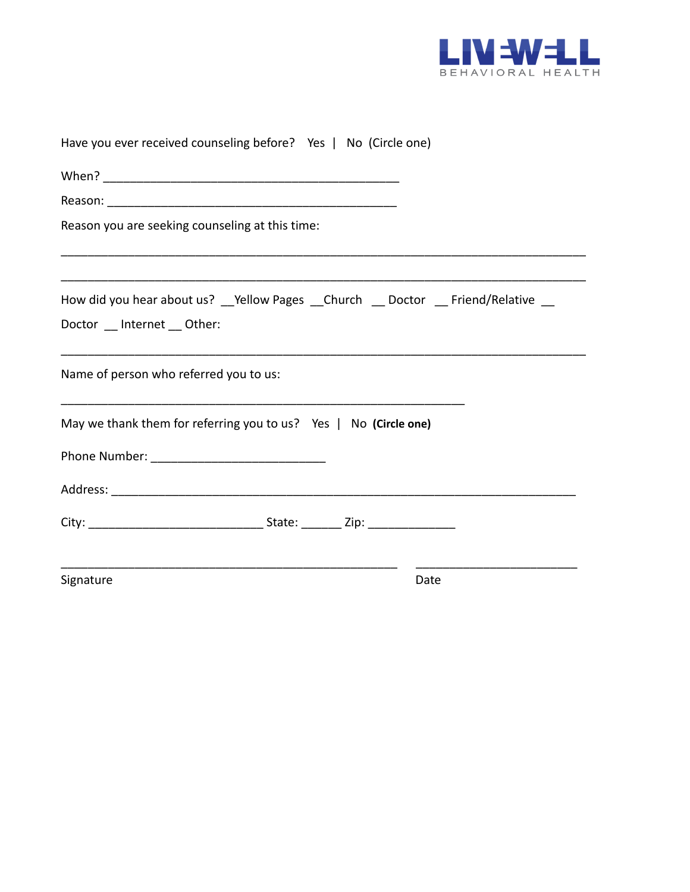

| Have you ever received counseling before? Yes   No (Circle one)                    |
|------------------------------------------------------------------------------------|
|                                                                                    |
|                                                                                    |
| Reason you are seeking counseling at this time:                                    |
| How did you hear about us? __Yellow Pages __Church __ Doctor __ Friend/Relative __ |
| Doctor Internet Other:                                                             |
| Name of person who referred you to us:                                             |
| May we thank them for referring you to us? Yes   No (Circle one)                   |
|                                                                                    |
|                                                                                    |
|                                                                                    |
| Signature<br>Date                                                                  |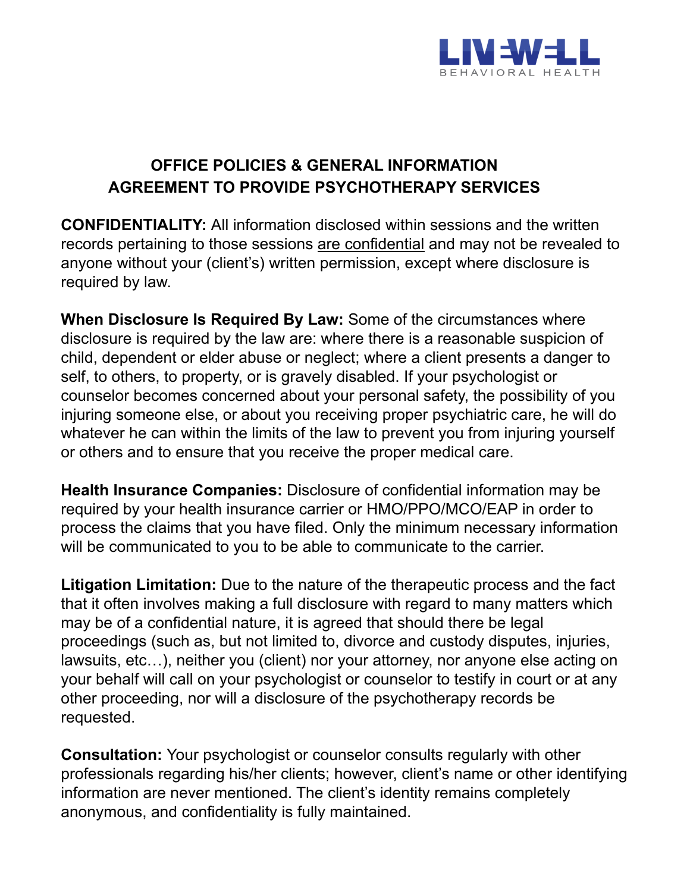

## **OFFICE POLICIES & GENERAL INFORMATION AGREEMENT TO PROVIDE PSYCHOTHERAPY SERVICES**

**CONFIDENTIALITY:** All information disclosed within sessions and the written records pertaining to those sessions are confidential and may not be revealed to anyone without your (client's) written permission, except where disclosure is required by law.

**When Disclosure Is Required By Law:** Some of the circumstances where disclosure is required by the law are: where there is a reasonable suspicion of child, dependent or elder abuse or neglect; where a client presents a danger to self, to others, to property, or is gravely disabled. If your psychologist or counselor becomes concerned about your personal safety, the possibility of you injuring someone else, or about you receiving proper psychiatric care, he will do whatever he can within the limits of the law to prevent you from injuring yourself or others and to ensure that you receive the proper medical care.

**Health Insurance Companies:** Disclosure of confidential information may be required by your health insurance carrier or HMO/PPO/MCO/EAP in order to process the claims that you have filed. Only the minimum necessary information will be communicated to you to be able to communicate to the carrier.

**Litigation Limitation:** Due to the nature of the therapeutic process and the fact that it often involves making a full disclosure with regard to many matters which may be of a confidential nature, it is agreed that should there be legal proceedings (such as, but not limited to, divorce and custody disputes, injuries, lawsuits, etc…), neither you (client) nor your attorney, nor anyone else acting on your behalf will call on your psychologist or counselor to testify in court or at any other proceeding, nor will a disclosure of the psychotherapy records be requested.

**Consultation:** Your psychologist or counselor consults regularly with other professionals regarding his/her clients; however, client's name or other identifying information are never mentioned. The client's identity remains completely anonymous, and confidentiality is fully maintained.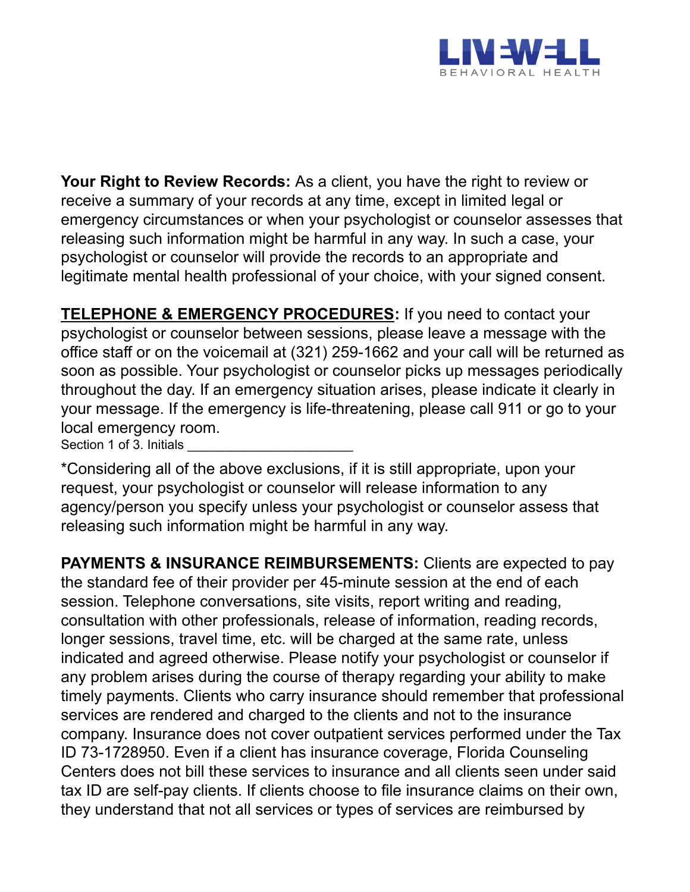

**Your Right to Review Records:** As a client, you have the right to review or receive a summary of your records at any time, except in limited legal or emergency circumstances or when your psychologist or counselor assesses that releasing such information might be harmful in any way. In such a case, your psychologist or counselor will provide the records to an appropriate and legitimate mental health professional of your choice, with your signed consent.

**TELEPHONE & EMERGENCY PROCEDURES:** If you need to contact your psychologist or counselor between sessions, please leave a message with the office staff or on the voicemail at (321) 259-1662 and your call will be returned as soon as possible. Your psychologist or counselor picks up messages periodically throughout the day. If an emergency situation arises, please indicate it clearly in your message. If the emergency is life-threatening, please call 911 or go to your local emergency room.

Section 1 of 3. Initials

\*Considering all of the above exclusions, if it is still appropriate, upon your request, your psychologist or counselor will release information to any agency/person you specify unless your psychologist or counselor assess that releasing such information might be harmful in any way.

**PAYMENTS & INSURANCE REIMBURSEMENTS:** Clients are expected to pay the standard fee of their provider per 45-minute session at the end of each session. Telephone conversations, site visits, report writing and reading, consultation with other professionals, release of information, reading records, longer sessions, travel time, etc. will be charged at the same rate, unless indicated and agreed otherwise. Please notify your psychologist or counselor if any problem arises during the course of therapy regarding your ability to make timely payments. Clients who carry insurance should remember that professional services are rendered and charged to the clients and not to the insurance company. Insurance does not cover outpatient services performed under the Tax ID 73-1728950. Even if a client has insurance coverage, Florida Counseling Centers does not bill these services to insurance and all clients seen under said tax ID are self-pay clients. If clients choose to file insurance claims on their own, they understand that not all services or types of services are reimbursed by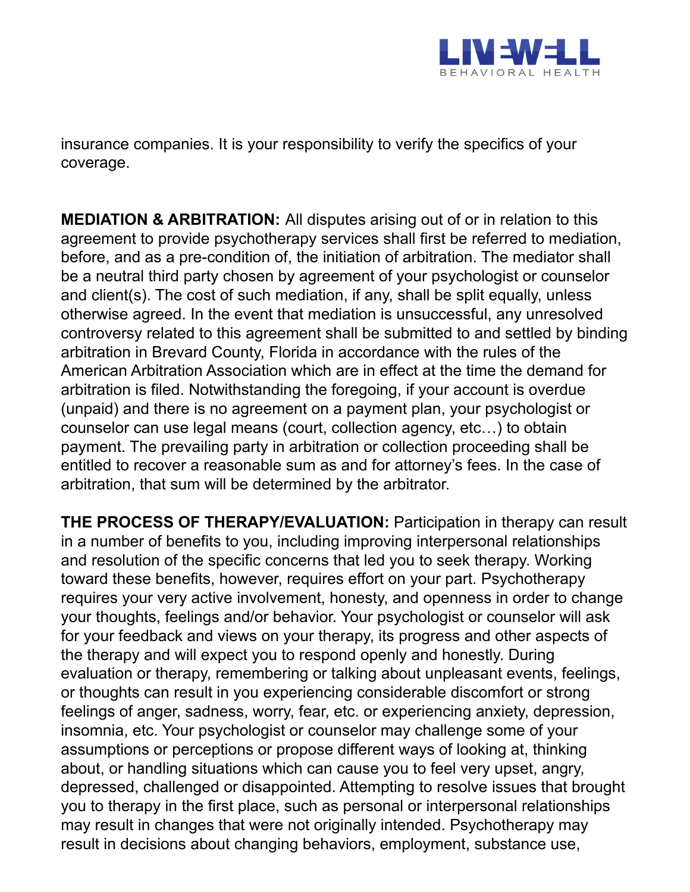

insurance companies. It is your responsibility to verify the specifics of your coverage.

**MEDIATION & ARBITRATION:** All disputes arising out of or in relation to this agreement to provide psychotherapy services shall first be referred to mediation, before, and as a pre-condition of, the initiation of arbitration. The mediator shall be a neutral third party chosen by agreement of your psychologist or counselor and client(s). The cost of such mediation, if any, shall be split equally, unless otherwise agreed. In the event that mediation is unsuccessful, any unresolved controversy related to this agreement shall be submitted to and settled by binding arbitration in Brevard County, Florida in accordance with the rules of the American Arbitration Association which are in effect at the time the demand for arbitration is filed. Notwithstanding the foregoing, if your account is overdue (unpaid) and there is no agreement on a payment plan, your psychologist or counselor can use legal means (court, collection agency, etc…) to obtain payment. The prevailing party in arbitration or collection proceeding shall be entitled to recover a reasonable sum as and for attorney's fees. In the case of arbitration, that sum will be determined by the arbitrator.

**THE PROCESS OF THERAPY/EVALUATION:** Participation in therapy can result in a number of benefits to you, including improving interpersonal relationships and resolution of the specific concerns that led you to seek therapy. Working toward these benefits, however, requires effort on your part. Psychotherapy requires your very active involvement, honesty, and openness in order to change your thoughts, feelings and/or behavior. Your psychologist or counselor will ask for your feedback and views on your therapy, its progress and other aspects of the therapy and will expect you to respond openly and honestly. During evaluation or therapy, remembering or talking about unpleasant events, feelings, or thoughts can result in you experiencing considerable discomfort or strong feelings of anger, sadness, worry, fear, etc. or experiencing anxiety, depression, insomnia, etc. Your psychologist or counselor may challenge some of your assumptions or perceptions or propose different ways of looking at, thinking about, or handling situations which can cause you to feel very upset, angry, depressed, challenged or disappointed. Attempting to resolve issues that brought you to therapy in the first place, such as personal or interpersonal relationships may result in changes that were not originally intended. Psychotherapy may result in decisions about changing behaviors, employment, substance use,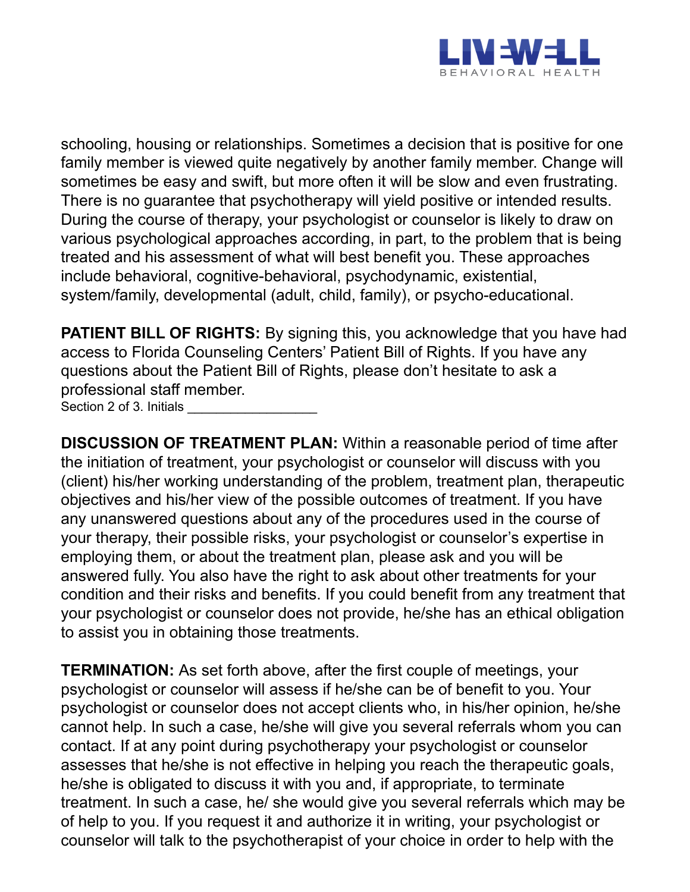

schooling, housing or relationships. Sometimes a decision that is positive for one family member is viewed quite negatively by another family member. Change will sometimes be easy and swift, but more often it will be slow and even frustrating. There is no guarantee that psychotherapy will yield positive or intended results. During the course of therapy, your psychologist or counselor is likely to draw on various psychological approaches according, in part, to the problem that is being treated and his assessment of what will best benefit you. These approaches include behavioral, cognitive-behavioral, psychodynamic, existential, system/family, developmental (adult, child, family), or psycho-educational.

**PATIENT BILL OF RIGHTS:** By signing this, you acknowledge that you have had access to Florida Counseling Centers' Patient Bill of Rights. If you have any questions about the Patient Bill of Rights, please don't hesitate to ask a professional staff member. Section 2 of 3. Initials

**DISCUSSION OF TREATMENT PLAN:** Within a reasonable period of time after the initiation of treatment, your psychologist or counselor will discuss with you (client) his/her working understanding of the problem, treatment plan, therapeutic objectives and his/her view of the possible outcomes of treatment. If you have any unanswered questions about any of the procedures used in the course of your therapy, their possible risks, your psychologist or counselor's expertise in employing them, or about the treatment plan, please ask and you will be answered fully. You also have the right to ask about other treatments for your condition and their risks and benefits. If you could benefit from any treatment that your psychologist or counselor does not provide, he/she has an ethical obligation to assist you in obtaining those treatments.

**TERMINATION:** As set forth above, after the first couple of meetings, your psychologist or counselor will assess if he/she can be of benefit to you. Your psychologist or counselor does not accept clients who, in his/her opinion, he/she cannot help. In such a case, he/she will give you several referrals whom you can contact. If at any point during psychotherapy your psychologist or counselor assesses that he/she is not effective in helping you reach the therapeutic goals, he/she is obligated to discuss it with you and, if appropriate, to terminate treatment. In such a case, he/ she would give you several referrals which may be of help to you. If you request it and authorize it in writing, your psychologist or counselor will talk to the psychotherapist of your choice in order to help with the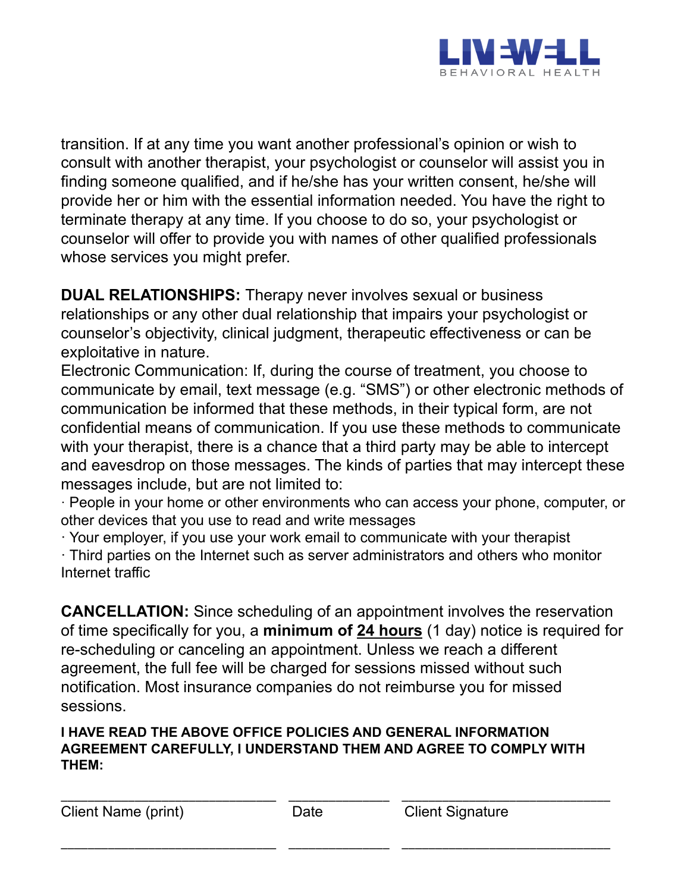

transition. If at any time you want another professional's opinion or wish to consult with another therapist, your psychologist or counselor will assist you in finding someone qualified, and if he/she has your written consent, he/she will provide her or him with the essential information needed. You have the right to terminate therapy at any time. If you choose to do so, your psychologist or counselor will offer to provide you with names of other qualified professionals whose services you might prefer.

**DUAL RELATIONSHIPS:** Therapy never involves sexual or business relationships or any other dual relationship that impairs your psychologist or counselor's objectivity, clinical judgment, therapeutic effectiveness or can be exploitative in nature.

Electronic Communication: If, during the course of treatment, you choose to communicate by email, text message (e.g. "SMS") or other electronic methods of communication be informed that these methods, in their typical form, are not confidential means of communication. If you use these methods to communicate with your therapist, there is a chance that a third party may be able to intercept and eavesdrop on those messages. The kinds of parties that may intercept these messages include, but are not limited to:

· People in your home or other environments who can access your phone, computer, or other devices that you use to read and write messages

· Your employer, if you use your work email to communicate with your therapist · Third parties on the Internet such as server administrators and others who monitor Internet traffic

**CANCELLATION:** Since scheduling of an appointment involves the reservation of time specifically for you, a **minimum of 24 hours** (1 day) notice is required for re-scheduling or canceling an appointment. Unless we reach a different agreement, the full fee will be charged for sessions missed without such notification. Most insurance companies do not reimburse you for missed sessions.

#### **I HAVE READ THE ABOVE OFFICE POLICIES AND GENERAL INFORMATION AGREEMENT CAREFULLY, I UNDERSTAND THEM AND AGREE TO COMPLY WITH THEM:**

\_\_\_\_\_\_\_\_\_\_\_\_\_\_\_\_\_\_\_\_\_\_\_\_\_\_\_\_\_\_\_\_ \_\_\_\_\_\_\_\_\_\_\_\_\_\_\_ \_\_\_\_\_\_\_\_\_\_\_\_\_\_\_\_\_\_\_\_\_\_\_\_\_\_\_\_\_\_\_

\_\_\_\_\_\_\_\_\_\_\_\_\_\_\_\_\_\_\_\_\_\_\_\_\_\_\_\_\_\_\_\_ \_\_\_\_\_\_\_\_\_\_\_\_\_\_\_ \_\_\_\_\_\_\_\_\_\_\_\_\_\_\_\_\_\_\_\_\_\_\_\_\_\_\_\_\_\_\_ Client Name (print) Date Client Signature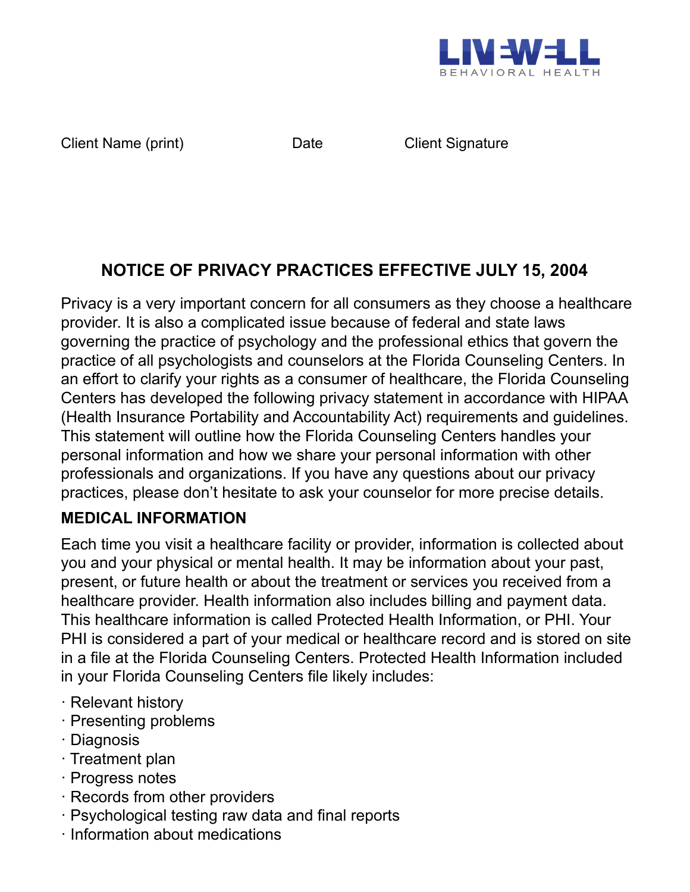

Client Name (print) Date Client Signature

# **NOTICE OF PRIVACY PRACTICES EFFECTIVE JULY 15, 2004**

Privacy is a very important concern for all consumers as they choose a healthcare provider. It is also a complicated issue because of federal and state laws governing the practice of psychology and the professional ethics that govern the practice of all psychologists and counselors at the Florida Counseling Centers. In an effort to clarify your rights as a consumer of healthcare, the Florida Counseling Centers has developed the following privacy statement in accordance with HIPAA (Health Insurance Portability and Accountability Act) requirements and guidelines. This statement will outline how the Florida Counseling Centers handles your personal information and how we share your personal information with other professionals and organizations. If you have any questions about our privacy practices, please don't hesitate to ask your counselor for more precise details.

### **MEDICAL INFORMATION**

Each time you visit a healthcare facility or provider, information is collected about you and your physical or mental health. It may be information about your past, present, or future health or about the treatment or services you received from a healthcare provider. Health information also includes billing and payment data. This healthcare information is called Protected Health Information, or PHI. Your PHI is considered a part of your medical or healthcare record and is stored on site in a file at the Florida Counseling Centers. Protected Health Information included in your Florida Counseling Centers file likely includes:

- · Relevant history
- · Presenting problems
- · Diagnosis
- · Treatment plan
- · Progress notes
- · Records from other providers
- · Psychological testing raw data and final reports
- · Information about medications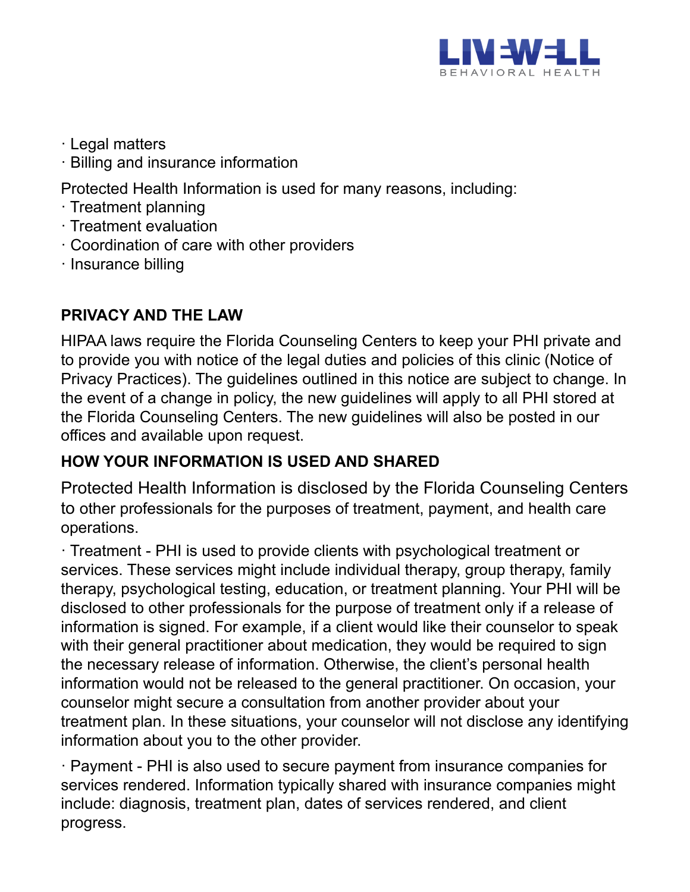

- · Legal matters
- · Billing and insurance information

Protected Health Information is used for many reasons, including:

- · Treatment planning
- · Treatment evaluation
- · Coordination of care with other providers
- · Insurance billing

## **PRIVACY AND THE LAW**

HIPAA laws require the Florida Counseling Centers to keep your PHI private and to provide you with notice of the legal duties and policies of this clinic (Notice of Privacy Practices). The guidelines outlined in this notice are subject to change. In the event of a change in policy, the new guidelines will apply to all PHI stored at the Florida Counseling Centers. The new guidelines will also be posted in our offices and available upon request.

### **HOW YOUR INFORMATION IS USED AND SHARED**

Protected Health Information is disclosed by the Florida Counseling Centers to other professionals for the purposes of treatment, payment, and health care operations.

· Treatment - PHI is used to provide clients with psychological treatment or services. These services might include individual therapy, group therapy, family therapy, psychological testing, education, or treatment planning. Your PHI will be disclosed to other professionals for the purpose of treatment only if a release of information is signed. For example, if a client would like their counselor to speak with their general practitioner about medication, they would be required to sign the necessary release of information. Otherwise, the client's personal health information would not be released to the general practitioner. On occasion, your counselor might secure a consultation from another provider about your treatment plan. In these situations, your counselor will not disclose any identifying information about you to the other provider.

· Payment - PHI is also used to secure payment from insurance companies for services rendered. Information typically shared with insurance companies might include: diagnosis, treatment plan, dates of services rendered, and client progress.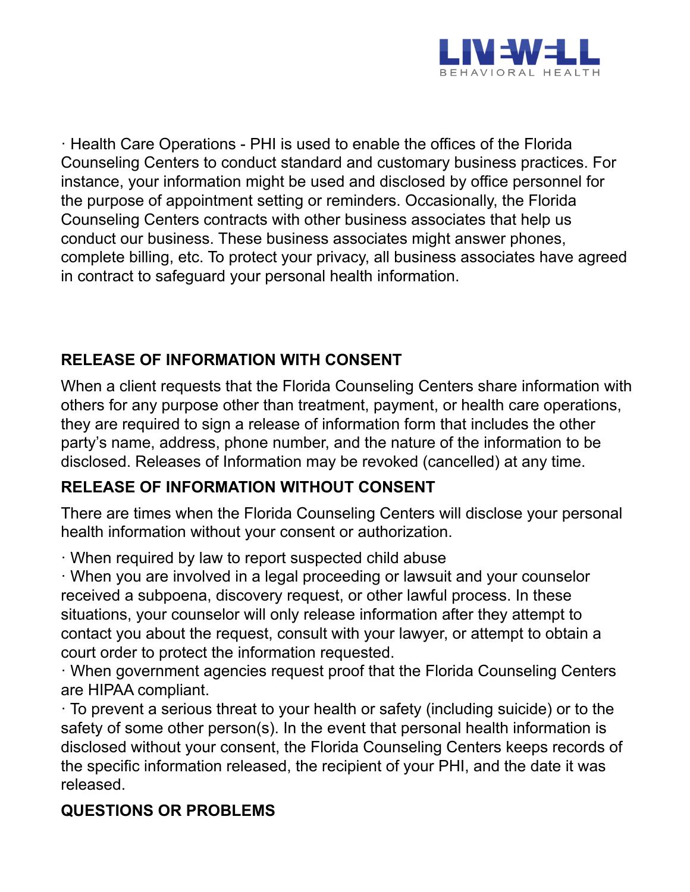

· Health Care Operations - PHI is used to enable the offices of the Florida Counseling Centers to conduct standard and customary business practices. For instance, your information might be used and disclosed by office personnel for the purpose of appointment setting or reminders. Occasionally, the Florida Counseling Centers contracts with other business associates that help us conduct our business. These business associates might answer phones, complete billing, etc. To protect your privacy, all business associates have agreed in contract to safeguard your personal health information.

## **RELEASE OF INFORMATION WITH CONSENT**

When a client requests that the Florida Counseling Centers share information with others for any purpose other than treatment, payment, or health care operations, they are required to sign a release of information form that includes the other party's name, address, phone number, and the nature of the information to be disclosed. Releases of Information may be revoked (cancelled) at any time.

### **RELEASE OF INFORMATION WITHOUT CONSENT**

There are times when the Florida Counseling Centers will disclose your personal health information without your consent or authorization.

· When required by law to report suspected child abuse

· When you are involved in a legal proceeding or lawsuit and your counselor received a subpoena, discovery request, or other lawful process. In these situations, your counselor will only release information after they attempt to contact you about the request, consult with your lawyer, or attempt to obtain a court order to protect the information requested.

· When government agencies request proof that the Florida Counseling Centers are HIPAA compliant.

· To prevent a serious threat to your health or safety (including suicide) or to the safety of some other person(s). In the event that personal health information is disclosed without your consent, the Florida Counseling Centers keeps records of the specific information released, the recipient of your PHI, and the date it was released.

## **QUESTIONS OR PROBLEMS**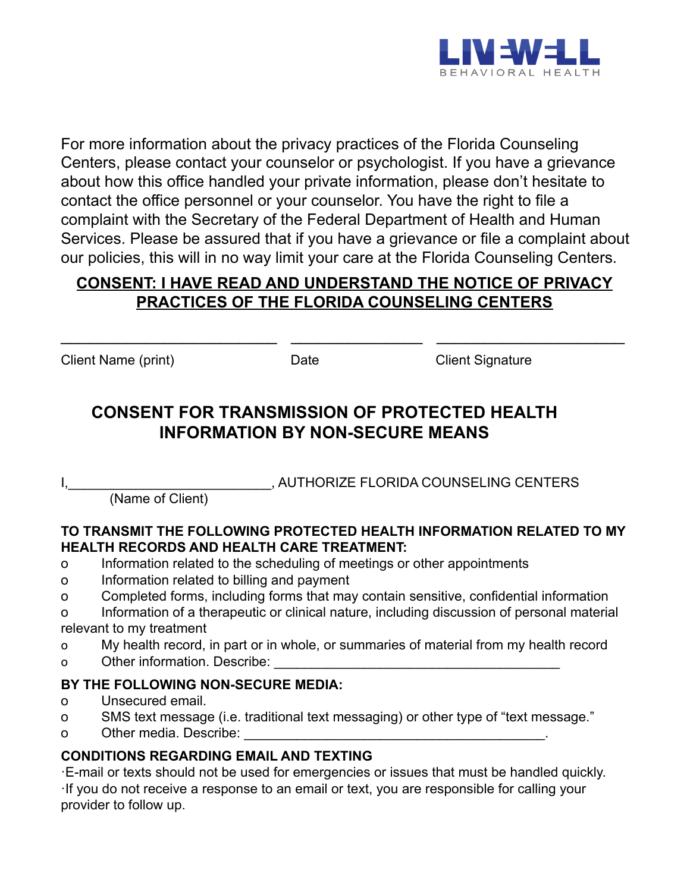

For more information about the privacy practices of the Florida Counseling Centers, please contact your counselor or psychologist. If you have a grievance about how this office handled your private information, please don't hesitate to contact the office personnel or your counselor. You have the right to file a complaint with the Secretary of the Federal Department of Health and Human Services. Please be assured that if you have a grievance or file a complaint about our policies, this will in no way limit your care at the Florida Counseling Centers.

#### **CONSENT: I HAVE READ AND UNDERSTAND THE NOTICE OF PRIVACY PRACTICES OF THE FLORIDA COUNSELING CENTERS**

\_\_\_\_\_\_\_\_\_\_\_\_\_\_\_\_\_\_\_\_\_\_\_ \_\_\_\_\_\_\_\_\_\_\_\_\_\_ \_\_\_\_\_\_\_\_\_\_\_\_\_\_\_\_\_\_\_\_

Client Name (print) Date Client Signature

# **CONSENT FOR TRANSMISSION OF PROTECTED HEALTH INFORMATION BY NON-SECURE MEANS**

, AUTHORIZE FLORIDA COUNSELING CENTERS

(Name of Client)

#### **TO TRANSMIT THE FOLLOWING PROTECTED HEALTH INFORMATION RELATED TO MY HEALTH RECORDS AND HEALTH CARE TREATMENT:**

- o Information related to the scheduling of meetings or other appointments
- o Information related to billing and payment
- o Completed forms, including forms that may contain sensitive, confidential information
- o Information of a therapeutic or clinical nature, including discussion of personal material relevant to my treatment
- o My health record, in part or in whole, or summaries of material from my health record
- o Other information. Describe:

#### **BY THE FOLLOWING NON-SECURE MEDIA:**

- o Unsecured email.
- o SMS text message (i.e. traditional text messaging) or other type of "text message."
- o Other media. Describe:  $\Box$

#### **CONDITIONS REGARDING EMAIL AND TEXTING**

·E-mail or texts should not be used for emergencies or issues that must be handled quickly. ·If you do not receive a response to an email or text, you are responsible for calling your provider to follow up.